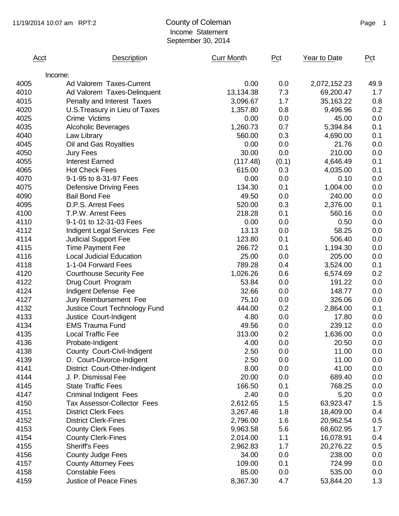| Acct | Description                        | <b>Curr Month</b> | Pct        | Year to Date | Pct  |
|------|------------------------------------|-------------------|------------|--------------|------|
|      | Income:                            |                   |            |              |      |
| 4005 | Ad Valorem Taxes-Current           | 0.00              | 0.0        | 2,072,152.23 | 49.9 |
| 4010 | Ad Valorem Taxes-Delinquent        | 13,134.38         | 7.3        | 69,200.47    | 1.7  |
| 4015 | Penalty and Interest Taxes         | 3,096.67          | 1.7        | 35,163.22    | 0.8  |
| 4020 | U.S. Treasury in Lieu of Taxes     | 1,357.80          | 0.8        | 9,496.96     | 0.2  |
| 4025 | Crime Victims                      | 0.00              | 0.0        | 45.00        | 0.0  |
| 4035 | <b>Alcoholic Beverages</b>         | 1,260.73          | 0.7        | 5,394.84     | 0.1  |
| 4040 | Law Library                        | 560.00            | 0.3        | 4,690.00     | 0.1  |
| 4045 | Oil and Gas Royalties              | 0.00              | 0.0        | 21.76        | 0.0  |
| 4050 | <b>Jury Fees</b>                   | 30.00             | 0.0        | 210.00       | 0.0  |
| 4055 | <b>Interest Earned</b>             | (117.48)          | (0.1)      | 4,646.49     | 0.1  |
| 4065 | <b>Hot Check Fees</b>              | 615.00            | 0.3        | 4,035.00     | 0.1  |
| 4070 | 9-1-95 to 8-31-97 Fees             | 0.00              | 0.0        | 0.10         | 0.0  |
| 4075 | <b>Defensive Driving Fees</b>      | 134.30            | 0.1        | 1,004.00     | 0.0  |
| 4090 | <b>Bail Bond Fee</b>               | 49.50             | 0.0        | 240.00       | 0.0  |
| 4095 | D.P.S. Arrest Fees                 | 520.00            | 0.3        | 2,376.00     | 0.1  |
| 4100 | T.P.W. Arrest Fees                 | 218.28            | 0.1        | 560.16       | 0.0  |
| 4110 | 9-1-01 to 12-31-03 Fees            | 0.00              | 0.0        | 0.50         | 0.0  |
| 4112 | Indigent Legal Services Fee        | 13.13             | 0.0        | 58.25        | 0.0  |
| 4114 | <b>Judicial Support Fee</b>        | 123.80            | 0.1        | 506.40       | 0.0  |
| 4115 | <b>Time Payment Fee</b>            | 266.72            | 0.1        | 1,194.30     | 0.0  |
| 4116 | <b>Local Judicial Education</b>    | 25.00             | 0.0        | 205.00       | 0.0  |
| 4118 | 1-1-04 Forward Fees                | 789.28            | 0.4        | 3,524.00     | 0.1  |
| 4120 | <b>Courthouse Security Fee</b>     | 1,026.26          | 0.6        | 6,574.69     | 0.2  |
| 4122 | Drug Court Program                 | 53.84             | 0.0        | 191.22       | 0.0  |
| 4124 | Indigent Defense Fee               | 32.66             | 0.0        | 148.77       | 0.0  |
| 4127 | Jury Reimbursement Fee             | 75.10             | 0.0        | 326.06       | 0.0  |
| 4132 | Justice Court Technology Fund      | 444.00            | 0.2        | 2,864.00     | 0.1  |
| 4133 | Justice Court-Indigent             | 4.80              | 0.0        | 17.80        | 0.0  |
| 4134 | <b>EMS Trauma Fund</b>             | 49.56             | 0.0        | 239.12       | 0.0  |
| 4135 | <b>Local Traffic Fee</b>           | 313.00            | 0.2        | 1,636.00     | 0.0  |
| 4136 | Probate-Indigent                   | 4.00              | 0.0        | 20.50        | 0.0  |
| 4138 | County Court-Civil-Indigent        | 2.50              | 0.0        | 11.00        | 0.0  |
| 4139 | D. Court-Divorce-Indigent          | 2.50              | 0.0        | 11.00        | 0.0  |
| 4141 | District Court-Other-Indigent      | 8.00              | 0.0        | 41.00        | 0.0  |
| 4144 | J. P. Dismissal Fee                | 20.00             | 0.0        | 689.40       | 0.0  |
| 4145 | <b>State Traffic Fees</b>          | 166.50            | 0.1        | 768.25       | 0.0  |
| 4147 | <b>Criminal Indigent Fees</b>      | 2.40              | 0.0        | 5.20         | 0.0  |
| 4150 | <b>Tax Assessor-Collector Fees</b> | 2,612.65          | 1.5        | 63,923.47    | 1.5  |
|      | <b>District Clerk Fees</b>         |                   |            |              |      |
| 4151 |                                    | 3,267.46          | 1.8<br>1.6 | 18,409.00    | 0.4  |
| 4152 | <b>District Clerk-Fines</b>        | 2,796.00          |            | 20,962.54    | 0.5  |
| 4153 | <b>County Clerk Fees</b>           | 9,963.58          | 5.6        | 68,602.95    | 1.7  |
| 4154 | <b>County Clerk-Fines</b>          | 2,014.00          | 1.1        | 16,078.91    | 0.4  |
| 4155 | <b>Sheriff's Fees</b>              | 2,962.83          | 1.7        | 20,276.22    | 0.5  |
| 4156 | <b>County Judge Fees</b>           | 34.00             | 0.0        | 238.00       | 0.0  |
| 4157 | <b>County Attorney Fees</b>        | 109.00            | 0.1        | 724.99       | 0.0  |
| 4158 | <b>Constable Fees</b>              | 85.00             | 0.0        | 535.00       | 0.0  |
| 4159 | <b>Justice of Peace Fines</b>      | 8,367.30          | 4.7        | 53,844.20    | 1.3  |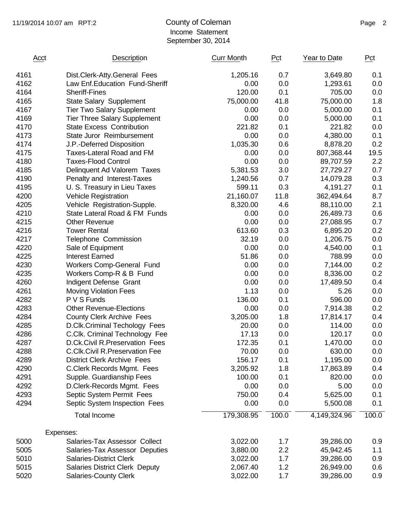| Acct | Description                           | <b>Curr Month</b> | Pct   | Year to Date | Pct   |
|------|---------------------------------------|-------------------|-------|--------------|-------|
| 4161 | Dist.Clerk-Atty.General Fees          | 1,205.16          | 0.7   | 3,649.80     | 0.1   |
| 4162 | Law Enf. Education Fund-Sheriff       | 0.00              | 0.0   | 1,293.61     | 0.0   |
| 4164 | <b>Sheriff-Fines</b>                  | 120.00            | 0.1   | 705.00       | 0.0   |
| 4165 | <b>State Salary Supplement</b>        | 75,000.00         | 41.8  | 75,000.00    | 1.8   |
| 4167 | <b>Tier Two Salary Supplement</b>     | 0.00              | 0.0   | 5,000.00     | 0.1   |
| 4169 | <b>Tier Three Salary Supplement</b>   | 0.00              | 0.0   | 5,000.00     | 0.1   |
| 4170 | <b>State Excess Contribution</b>      | 221.82            | 0.1   | 221.82       | 0.0   |
| 4173 | State Juror Reimbursement             | 0.00              | 0.0   | 4,380.00     | 0.1   |
| 4174 | J.P.-Deferred Disposition             | 1,035.30          | 0.6   | 8,878.20     | 0.2   |
| 4175 | <b>Taxes-Lateral Road and FM</b>      | 0.00              | 0.0   | 807,368.44   | 19.5  |
| 4180 | <b>Taxes-Flood Control</b>            | 0.00              | 0.0   | 89,707.59    | 2.2   |
| 4185 | Delinquent Ad Valorem Taxes           | 5,381.53          | 3.0   | 27,729.27    | 0.7   |
| 4190 | Penalty and Interest-Taxes            | 1,240.56          | 0.7   | 14,079.28    | 0.3   |
| 4195 | U. S. Treasury in Lieu Taxes          | 599.11            | 0.3   | 4,191.27     | 0.1   |
| 4200 | <b>Vehicle Registration</b>           | 21,160.07         | 11.8  | 362,494.64   | 8.7   |
| 4205 | Vehicle Registration-Supple.          | 8,320.00          | 4.6   | 88,110.00    | 2.1   |
| 4210 | State Lateral Road & FM Funds         | 0.00              | 0.0   | 26,489.73    | 0.6   |
| 4215 | <b>Other Revenue</b>                  | 0.00              | 0.0   | 27,088.95    | 0.7   |
| 4216 | <b>Tower Rental</b>                   | 613.60            | 0.3   | 6,895.20     | 0.2   |
| 4217 | <b>Telephone Commission</b>           | 32.19             | 0.0   | 1,206.75     | 0.0   |
| 4220 | Sale of Equipment                     | 0.00              | 0.0   | 4,540.00     | 0.1   |
| 4225 | <b>Interest Earned</b>                | 51.86             | 0.0   | 788.99       | 0.0   |
| 4230 | Workers Comp-General Fund             | 0.00              | 0.0   | 7,144.00     | 0.2   |
| 4235 | Workers Comp-R & B Fund               | 0.00              | 0.0   | 8,336.00     | 0.2   |
| 4260 | Indigent Defense Grant                | 0.00              | 0.0   | 17,489.50    | 0.4   |
| 4261 | <b>Moving Violation Fees</b>          | 1.13              | 0.0   | 5.26         | 0.0   |
| 4282 | P V S Funds                           | 136.00            | 0.1   | 596.00       | 0.0   |
| 4283 | <b>Other Revenue-Elections</b>        | 0.00              | 0.0   | 7,914.38     | 0.2   |
| 4284 | <b>County Clerk Archive Fees</b>      | 3,205.00          | 1.8   | 17,814.17    | 0.4   |
| 4285 | D.Clk.Criminal Techology Fees         | 20.00             | 0.0   | 114.00       | 0.0   |
| 4286 | C.Clk. Criminal Technology Fee        | 17.13             | 0.0   | 120.17       | 0.0   |
| 4287 | D.Ck.Civil R.Preservation Fees        | 172.35            | 0.1   | 1,470.00     | 0.0   |
| 4288 | <b>C.Clk.Civil R.Preservation Fee</b> | 70.00             | 0.0   | 630.00       | 0.0   |
| 4289 | <b>District Clerk Archive Fees</b>    | 156.17            | 0.1   | 1,195.00     | 0.0   |
| 4290 | C.Clerk Records Mgmt. Fees            | 3,205.92          | 1.8   | 17,863.89    | 0.4   |
| 4291 | Supple. Guardianship Fees             | 100.00            | 0.1   | 820.00       | 0.0   |
| 4292 | D.Clerk-Records Mgmt. Fees            | 0.00              | 0.0   | 5.00         | 0.0   |
| 4293 | Septic System Permit Fees             | 750.00            | 0.4   | 5,625.00     | 0.1   |
| 4294 | Septic System Inspection Fees         | 0.00              | 0.0   | 5,500.08     | 0.1   |
|      | <b>Total Income</b>                   | 179,308.95        | 100.0 | 4,149,324.96 | 100.0 |
|      | Expenses:                             |                   |       |              |       |
| 5000 | Salaries-Tax Assessor Collect         | 3,022.00          | 1.7   | 39,286.00    | 0.9   |
| 5005 | Salaries-Tax Assessor Deputies        | 3,880.00          | 2.2   | 45,942.45    | 1.1   |
| 5010 | <b>Salaries-District Clerk</b>        | 3,022.00          | 1.7   | 39,286.00    | 0.9   |
| 5015 | <b>Salaries District Clerk Deputy</b> | 2,067.40          | 1.2   | 26,949.00    | 0.6   |
| 5020 | <b>Salaries-County Clerk</b>          | 3,022.00          | 1.7   | 39,286.00    | 0.9   |
|      |                                       |                   |       |              |       |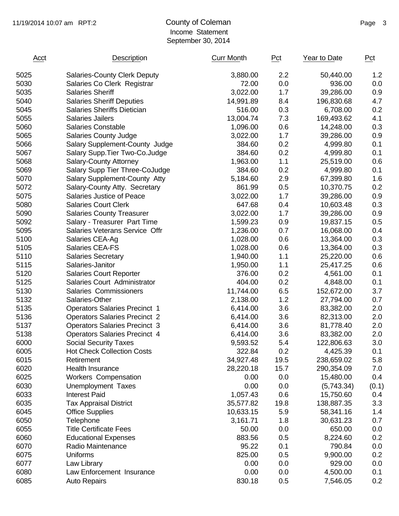| Acct | Description                          | <b>Curr Month</b> | Pct  | Year to Date | Pct          |
|------|--------------------------------------|-------------------|------|--------------|--------------|
| 5025 | <b>Salaries-County Clerk Deputy</b>  | 3,880.00          | 2.2  | 50,440.00    | 1.2          |
| 5030 | Salaries Co Clerk Registrar          | 72.00             | 0.0  | 936.00       | 0.0          |
| 5035 | <b>Salaries Sheriff</b>              | 3,022.00          | 1.7  | 39,286.00    | 0.9          |
| 5040 | <b>Salaries Sheriff Deputies</b>     | 14,991.89         | 8.4  | 196,830.68   | 4.7          |
| 5045 | <b>Salaries Sheriffs Dietician</b>   | 516.00            | 0.3  | 6,708.00     | 0.2          |
| 5055 | <b>Salaries Jailers</b>              | 13,004.74         | 7.3  | 169,493.62   | 4.1          |
| 5060 | <b>Salaries Constable</b>            | 1,096.00          | 0.6  | 14,248.00    | 0.3          |
| 5065 | <b>Salaries County Judge</b>         | 3,022.00          | 1.7  | 39,286.00    | 0.9          |
| 5066 | Salary Supplement-County Judge       | 384.60            | 0.2  | 4,999.80     | 0.1          |
| 5067 | Salary Supp. Tier Two-Co. Judge      | 384.60            | 0.2  | 4,999.80     | 0.1          |
| 5068 | <b>Salary-County Attorney</b>        | 1,963.00          | 1.1  | 25,519.00    | 0.6          |
| 5069 | Salary Supp Tier Three-CoJudge       | 384.60            | 0.2  | 4,999.80     | 0.1          |
| 5070 | Salary Supplement-County Atty        | 5,184.60          | 2.9  | 67,399.80    | 1.6          |
| 5072 | Salary-County Atty. Secretary        | 861.99            | 0.5  | 10,370.75    | 0.2          |
| 5075 | <b>Salaries Justice of Peace</b>     | 3,022.00          | 1.7  | 39,286.00    | 0.9          |
| 5080 | <b>Salaries Court Clerk</b>          | 647.68            | 0.4  | 10,603.48    | 0.3          |
| 5090 | <b>Salaries County Treasurer</b>     | 3,022.00          | 1.7  | 39,286.00    | 0.9          |
| 5092 | Salary - Treasurer Part Time         | 1,599.23          | 0.9  | 19,837.15    | 0.5          |
| 5095 | Salaries Veterans Service Offr       | 1,236.00          | 0.7  | 16,068.00    | 0.4          |
| 5100 | Salaries CEA-Ag                      | 1,028.00          | 0.6  | 13,364.00    | 0.3          |
| 5105 | Salaries CEA-FS                      | 1,028.00          | 0.6  | 13,364.00    | 0.3          |
| 5110 | <b>Salaries Secretary</b>            | 1,940.00          | 1.1  | 25,220.00    | 0.6          |
| 5115 | Salaries-Janitor                     | 1,950.00          | 1.1  | 25,417.25    | 0.6          |
| 5120 | <b>Salaries Court Reporter</b>       | 376.00            | 0.2  | 4,561.00     | 0.1          |
| 5125 | Salaries Court Administrator         | 404.00            | 0.2  | 4,848.00     | 0.1          |
| 5130 | Salaries Commissioners               | 11,744.00         | 6.5  | 152,672.00   | 3.7          |
| 5132 | Salaries-Other                       | 2,138.00          | 1.2  | 27,794.00    | 0.7          |
| 5135 | <b>Operators Salaries Precinct 1</b> | 6,414.00          | 3.6  | 83,382.00    | 2.0          |
| 5136 | <b>Operators Salaries Precinct 2</b> | 6,414.00          | 3.6  | 82,313.00    | 2.0          |
| 5137 | <b>Operators Salaries Precinct 3</b> | 6,414.00          | 3.6  | 81,778.40    | 2.0          |
| 5138 | <b>Operators Salaries Precinct 4</b> | 6,414.00          | 3.6  | 83,382.00    | 2.0          |
| 6000 | <b>Social Security Taxes</b>         | 9,593.52          | 5.4  | 122,806.63   | 3.0          |
| 6005 | <b>Hot Check Collection Costs</b>    | 322.84            | 0.2  | 4,425.39     | 0.1          |
| 6015 | Retirement                           | 34,927.48         | 19.5 | 238,659.02   | 5.8          |
| 6020 | <b>Health Insurance</b>              | 28,220.18         | 15.7 | 290,354.09   | 7.0          |
| 6025 | Workers Compensation                 | 0.00              | 0.0  | 15,480.00    | 0.4          |
| 6030 | Unemployment Taxes                   | 0.00              | 0.0  | (5,743.34)   |              |
| 6033 | <b>Interest Paid</b>                 | 1,057.43          | 0.6  | 15,750.60    | (0.1)<br>0.4 |
| 6035 |                                      |                   | 19.8 |              | 3.3          |
|      | <b>Tax Appraisal District</b>        | 35,577.82         |      | 138,887.35   |              |
| 6045 | <b>Office Supplies</b>               | 10,633.15         | 5.9  | 58,341.16    | 1.4          |
| 6050 | Telephone                            | 3,161.71          | 1.8  | 30,631.23    | 0.7          |
| 6055 | <b>Title Certificate Fees</b>        | 50.00             | 0.0  | 650.00       | 0.0          |
| 6060 | <b>Educational Expenses</b>          | 883.56            | 0.5  | 8,224.60     | 0.2          |
| 6070 | Radio Maintenance                    | 95.22             | 0.1  | 790.84       | 0.0          |
| 6075 | Uniforms                             | 825.00            | 0.5  | 9,900.00     | 0.2          |
| 6077 | Law Library                          | 0.00              | 0.0  | 929.00       | 0.0          |
| 6080 | Law Enforcement Insurance            | 0.00              | 0.0  | 4,500.00     | 0.1          |
| 6085 | <b>Auto Repairs</b>                  | 830.18            | 0.5  | 7,546.05     | 0.2          |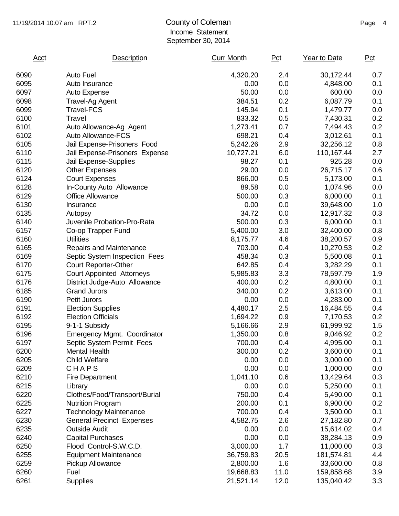#### 11/19/2014 10:07 am RPT:2 County of Coleman Counter and Page 4 Income Statement September 30, 2014

| Acct | Description                      | <b>Curr Month</b> | Pct  | Year to Date | Pct |
|------|----------------------------------|-------------------|------|--------------|-----|
| 6090 | <b>Auto Fuel</b>                 | 4,320.20          | 2.4  | 30,172.44    | 0.7 |
| 6095 | Auto Insurance                   | 0.00              | 0.0  | 4,848.00     | 0.1 |
| 6097 | Auto Expense                     | 50.00             | 0.0  | 600.00       | 0.0 |
| 6098 | <b>Travel-Ag Agent</b>           | 384.51            | 0.2  | 6,087.79     | 0.1 |
| 6099 | <b>Travel-FCS</b>                | 145.94            | 0.1  | 1,479.77     | 0.0 |
| 6100 | Travel                           | 833.32            | 0.5  | 7,430.31     | 0.2 |
| 6101 | Auto Allowance-Ag Agent          | 1,273.41          | 0.7  | 7,494.43     | 0.2 |
| 6102 | Auto Allowance-FCS               | 698.21            | 0.4  | 3,012.61     | 0.1 |
| 6105 | Jail Expense-Prisoners Food      | 5,242.26          | 2.9  | 32,256.12    | 0.8 |
| 6110 | Jail Expense-Prisoners Expense   | 10,727.21         | 6.0  | 110,167.44   | 2.7 |
| 6115 | Jail Expense-Supplies            | 98.27             | 0.1  | 925.28       | 0.0 |
| 6120 | <b>Other Expenses</b>            | 29.00             | 0.0  | 26,715.17    | 0.6 |
| 6124 | <b>Court Expenses</b>            | 866.00            | 0.5  | 5,173.00     | 0.1 |
| 6128 | In-County Auto Allowance         | 89.58             | 0.0  | 1,074.96     | 0.0 |
| 6129 | <b>Office Allowance</b>          | 500.00            | 0.3  | 6,000.00     | 0.1 |
| 6130 | Insurance                        | 0.00              | 0.0  | 39,648.00    | 1.0 |
| 6135 | Autopsy                          | 34.72             | 0.0  | 12,917.32    | 0.3 |
| 6140 | Juvenile Probation-Pro-Rata      | 500.00            | 0.3  | 6,000.00     | 0.1 |
| 6157 | Co-op Trapper Fund               | 5,400.00          | 3.0  | 32,400.00    | 0.8 |
| 6160 | <b>Utilities</b>                 | 8,175.77          | 4.6  | 38,200.57    | 0.9 |
| 6165 | Repairs and Maintenance          | 703.00            | 0.4  | 10,270.53    | 0.2 |
| 6169 | Septic System Inspection Fees    | 458.34            | 0.3  | 5,500.08     | 0.1 |
| 6170 | <b>Court Reporter-Other</b>      | 642.85            | 0.4  | 3,282.29     | 0.1 |
| 6175 | <b>Court Appointed Attorneys</b> | 5,985.83          | 3.3  | 78,597.79    | 1.9 |
| 6176 | District Judge-Auto Allowance    | 400.00            | 0.2  | 4,800.00     | 0.1 |
| 6185 | <b>Grand Jurors</b>              | 340.00            | 0.2  | 3,613.00     | 0.1 |
| 6190 | Petit Jurors                     | 0.00              | 0.0  | 4,283.00     | 0.1 |
| 6191 | <b>Election Supplies</b>         | 4,480.17          | 2.5  | 16,484.55    | 0.4 |
| 6192 | <b>Election Officials</b>        | 1,694.22          | 0.9  | 7,170.53     | 0.2 |
| 6195 | 9-1-1 Subsidy                    | 5,166.66          | 2.9  | 61,999.92    | 1.5 |
| 6196 | Emergency Mgmt. Coordinator      | 1,350.00          | 0.8  | 9,046.92     | 0.2 |
| 6197 | Septic System Permit Fees        | 700.00            | 0.4  | 4,995.00     | 0.1 |
| 6200 | <b>Mental Health</b>             | 300.00            | 0.2  | 3,600.00     | 0.1 |
| 6205 | <b>Child Welfare</b>             | 0.00              | 0.0  | 3,000.00     | 0.1 |
| 6209 | CHAPS                            | 0.00              | 0.0  | 1,000.00     | 0.0 |
| 6210 | <b>Fire Department</b>           | 1,041.10          | 0.6  | 13,429.64    | 0.3 |
| 6215 | Library                          | 0.00              | 0.0  | 5,250.00     | 0.1 |
| 6220 | Clothes/Food/Transport/Burial    | 750.00            | 0.4  | 5,490.00     | 0.1 |
| 6225 | <b>Nutrition Program</b>         | 200.00            | 0.1  | 6,900.00     | 0.2 |
| 6227 | <b>Technology Maintenance</b>    | 700.00            | 0.4  | 3,500.00     | 0.1 |
| 6230 | <b>General Precinct Expenses</b> | 4,582.75          | 2.6  | 27,182.80    | 0.7 |
| 6235 | <b>Outside Audit</b>             | 0.00              | 0.0  | 15,614.02    | 0.4 |
| 6240 | <b>Capital Purchases</b>         | 0.00              | 0.0  | 38,284.13    | 0.9 |
| 6250 | Flood Control-S.W.C.D.           | 3,000.00          | 1.7  | 11,000.00    | 0.3 |
| 6255 | <b>Equipment Maintenance</b>     | 36,759.83         | 20.5 | 181,574.81   | 4.4 |
| 6259 | <b>Pickup Allowance</b>          | 2,800.00          | 1.6  | 33,600.00    | 0.8 |
| 6260 | Fuel                             | 19,668.83         | 11.0 | 159,858.68   | 3.9 |
| 6261 | <b>Supplies</b>                  | 21,521.14         | 12.0 | 135,040.42   | 3.3 |